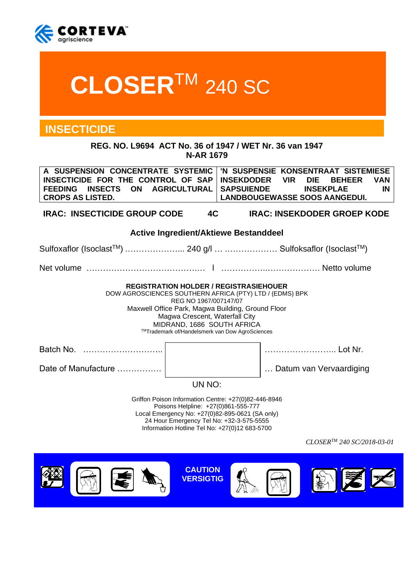

# **CLOSER**TM 240 SC

# **INSECTICIDE**

**REG. NO. L9694 ACT No. 36 of 1947 / WET Nr. 36 van 1947 N-AR 1679**

| A SUSPENSION CONCENTRATE SYSTEMIC<br>INSECTICIDE FOR THE CONTROL OF SAP<br><b>INSECTS</b><br><b>ON</b><br><b>FEEDING</b><br><b>CROPS AS LISTED.</b>                                                                                                                                                      | <b>AGRICULTURAL</b>                   | <b>INSEKDODER</b><br><b>SAPSUIENDE</b> | <b>VIR</b> | 'N SUSPENSIE KONSENTRAAT SISTEMIESE<br><b>DIE</b><br><b>INSEKPLAE</b><br><b>LANDBOUGEWASSE SOOS AANGEDUI.</b> | <b>BEHEER</b><br><b>VAN</b><br>IN |
|----------------------------------------------------------------------------------------------------------------------------------------------------------------------------------------------------------------------------------------------------------------------------------------------------------|---------------------------------------|----------------------------------------|------------|---------------------------------------------------------------------------------------------------------------|-----------------------------------|
| <b>IRAC: INSECTICIDE GROUP CODE</b>                                                                                                                                                                                                                                                                      | 4C                                    |                                        |            | <b>IRAC: INSEKDODER GROEP KODE</b>                                                                            |                                   |
|                                                                                                                                                                                                                                                                                                          | Active Ingredient/Aktiewe Bestanddeel |                                        |            |                                                                                                               |                                   |
| Sulfoxaflor (Isoclast <sup>™</sup> )  240 g/l   Sulfoksaflor (Isoclast™)                                                                                                                                                                                                                                 |                                       |                                        |            |                                                                                                               |                                   |
|                                                                                                                                                                                                                                                                                                          |                                       |                                        |            |                                                                                                               |                                   |
| <b>REGISTRATION HOLDER / REGISTRASIEHOUER</b><br>DOW AGROSCIENCES SOUTHERN AFRICA (PTY) LTD / (EDMS) BPK<br>REG NO 1967/007147/07<br>Maxwell Office Park, Magwa Building, Ground Floor<br>Magwa Crescent, Waterfall City<br>MIDRAND, 1686 SOUTH AFRICA<br>™Trademark of/Handelsmerk van Dow AgroSciences |                                       |                                        |            |                                                                                                               |                                   |
|                                                                                                                                                                                                                                                                                                          |                                       |                                        |            | Lot Nr.                                                                                                       |                                   |
| Date of Manufacture                                                                                                                                                                                                                                                                                      |                                       |                                        |            | Datum van Vervaardiging                                                                                       |                                   |
| UN NO:                                                                                                                                                                                                                                                                                                   |                                       |                                        |            |                                                                                                               |                                   |
| Griffon Poison Information Centre: +27(0)82-446-8946<br>Poisons Helpline: +27(0)861-555-777<br>Local Emergency No: +27(0)82-895-0621 (SA only)<br>24 Hour Emergency Tel No: +32-3-575-5555<br>Information Hotline Tel No: +27(0)12 683-5700                                                              |                                       |                                        |            |                                                                                                               |                                   |
|                                                                                                                                                                                                                                                                                                          |                                       |                                        |            |                                                                                                               | $CLOSER^{TM}$ 240 SC/2018-03-01   |

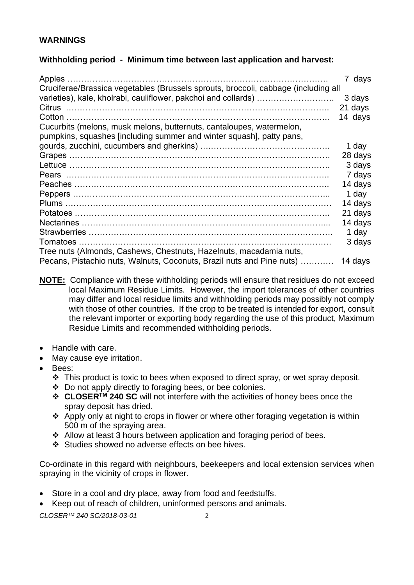# **WARNINGS**

# **Withholding period - Minimum time between last application and harvest:**

| Apples<br>Cruciferae/Brassica vegetables (Brussels sprouts, broccoli, cabbage (including all | 7 days  |
|----------------------------------------------------------------------------------------------|---------|
| varieties), kale, kholrabi, cauliflower, pakchoi and collards)                               | 3 days  |
|                                                                                              | 21 days |
|                                                                                              | 14 days |
| Cucurbits (melons, musk melons, butternuts, cantaloupes, watermelon,                         |         |
| pumpkins, squashes [including summer and winter squash], patty pans,                         |         |
|                                                                                              | 1 day   |
|                                                                                              | 28 days |
|                                                                                              | 3 days  |
|                                                                                              | 7 days  |
|                                                                                              | 14 days |
|                                                                                              | 1 day   |
|                                                                                              | 14 days |
|                                                                                              | 21 days |
|                                                                                              | 14 days |
|                                                                                              | 1 day   |
|                                                                                              | 3 days  |
| Tree nuts (Almonds, Cashews, Chestnuts, Hazelnuts, macadamia nuts,                           |         |
| Pecans, Pistachio nuts, Walnuts, Coconuts, Brazil nuts and Pine nuts)                        | 14 days |

**NOTE:** Compliance with these withholding periods will ensure that residues do not exceed local Maximum Residue Limits. However, the import tolerances of other countries may differ and local residue limits and withholding periods may possibly not comply with those of other countries. If the crop to be treated is intended for export, consult the relevant importer or exporting body regarding the use of this product, Maximum Residue Limits and recommended withholding periods.

- Handle with care.
- May cause eye irritation.
- Bees:
	- ❖ This product is toxic to bees when exposed to direct spray, or wet spray deposit.
	- ❖ Do not apply directly to foraging bees, or bee colonies.
	- ❖ **CLOSERTM 240 SC** will not interfere with the activities of honey bees once the spray deposit has dried.
	- ❖ Apply only at night to crops in flower or where other foraging vegetation is within 500 m of the spraying area.
	- ❖ Allow at least 3 hours between application and foraging period of bees.
	- ❖ Studies showed no adverse effects on bee hives.

Co-ordinate in this regard with neighbours, beekeepers and local extension services when spraying in the vicinity of crops in flower.

- Store in a cool and dry place, away from food and feedstuffs.
- Keep out of reach of children, uninformed persons and animals.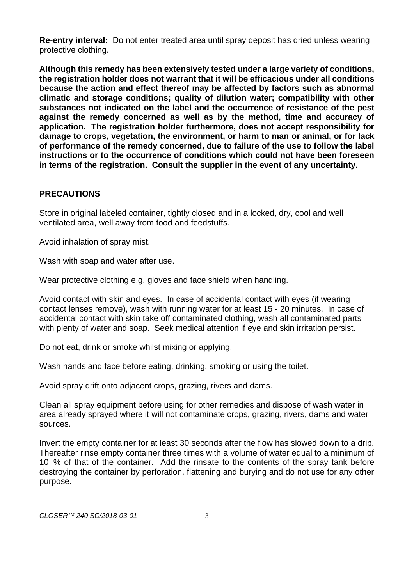**Re-entry interval:** Do not enter treated area until spray deposit has dried unless wearing protective clothing.

**Although this remedy has been extensively tested under a large variety of conditions, the registration holder does not warrant that it will be efficacious under all conditions because the action and effect thereof may be affected by factors such as abnormal climatic and storage conditions; quality of dilution water; compatibility with other substances not indicated on the label and the occurrence of resistance of the pest against the remedy concerned as well as by the method, time and accuracy of application. The registration holder furthermore, does not accept responsibility for damage to crops, vegetation, the environment, or harm to man or animal, or for lack of performance of the remedy concerned, due to failure of the use to follow the label instructions or to the occurrence of conditions which could not have been foreseen in terms of the registration. Consult the supplier in the event of any uncertainty.**

#### **PRECAUTIONS**

Store in original labeled container, tightly closed and in a locked, dry, cool and well ventilated area, well away from food and feedstuffs.

Avoid inhalation of spray mist.

Wash with soap and water after use.

Wear protective clothing e.g. gloves and face shield when handling.

Avoid contact with skin and eyes. In case of accidental contact with eyes (if wearing contact lenses remove), wash with running water for at least 15 - 20 minutes. In case of accidental contact with skin take off contaminated clothing, wash all contaminated parts with plenty of water and soap. Seek medical attention if eye and skin irritation persist.

Do not eat, drink or smoke whilst mixing or applying.

Wash hands and face before eating, drinking, smoking or using the toilet.

Avoid spray drift onto adjacent crops, grazing, rivers and dams.

Clean all spray equipment before using for other remedies and dispose of wash water in area already sprayed where it will not contaminate crops, grazing, rivers, dams and water sources.

Invert the empty container for at least 30 seconds after the flow has slowed down to a drip. Thereafter rinse empty container three times with a volume of water equal to a minimum of 10 % of that of the container. Add the rinsate to the contents of the spray tank before destroying the container by perforation, flattening and burying and do not use for any other purpose.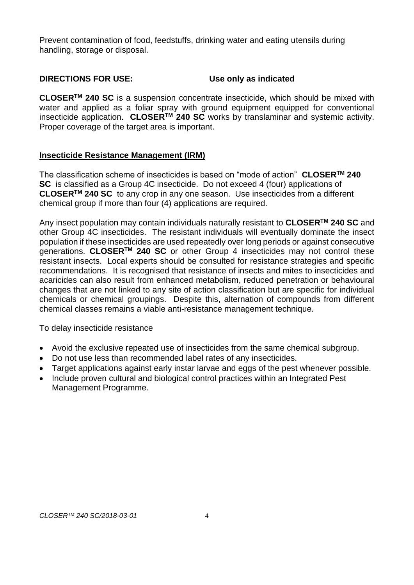Prevent contamination of food, feedstuffs, drinking water and eating utensils during handling, storage or disposal.

# **DIRECTIONS FOR USE: Use only as indicated**

**CLOSERTM 240 SC** is a suspension concentrate insecticide, which should be mixed with water and applied as a foliar spray with ground equipment equipped for conventional insecticide application. **CLOSERTM 240 SC** works by translaminar and systemic activity. Proper coverage of the target area is important.

# **Insecticide Resistance Management (IRM)**

The classification scheme of insecticides is based on "mode of action" **CLOSERTM 240 SC** is classified as a Group 4C insecticide. Do not exceed 4 (four) applications of **CLOSERTM 240 SC** to any crop in any one season. Use insecticides from a different chemical group if more than four (4) applications are required.

Any insect population may contain individuals naturally resistant to **CLOSERTM 240 SC** and other Group 4C insecticides. The resistant individuals will eventually dominate the insect population if these insecticides are used repeatedly over long periods or against consecutive generations. **CLOSERTM 240 SC** or other Group 4 insecticides may not control these resistant insects. Local experts should be consulted for resistance strategies and specific recommendations. It is recognised that resistance of insects and mites to insecticides and acaricides can also result from enhanced metabolism, reduced penetration or behavioural changes that are not linked to any site of action classification but are specific for individual chemicals or chemical groupings. Despite this, alternation of compounds from different chemical classes remains a viable anti-resistance management technique.

To delay insecticide resistance

- Avoid the exclusive repeated use of insecticides from the same chemical subgroup.
- Do not use less than recommended label rates of any insecticides.
- Target applications against early instar larvae and eggs of the pest whenever possible.
- Include proven cultural and biological control practices within an Integrated Pest Management Programme.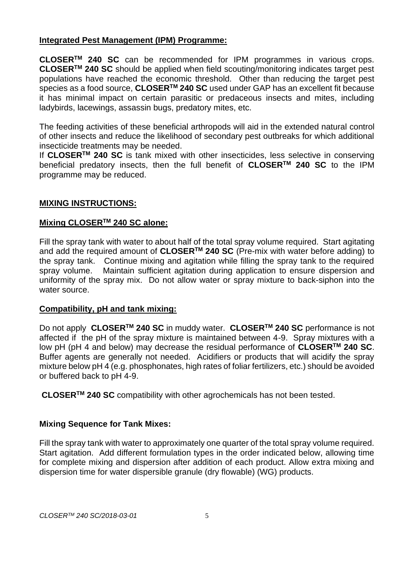#### **Integrated Pest Management (IPM) Programme:**

**CLOSERTM 240 SC** can be recommended for IPM programmes in various crops. **CLOSERTM 240 SC** should be applied when field scouting/monitoring indicates target pest populations have reached the economic threshold. Other than reducing the target pest species as a food source, **CLOSERTM 240 SC** used under GAP has an excellent fit because it has minimal impact on certain parasitic or predaceous insects and mites, including ladybirds, lacewings, assassin bugs, predatory mites, etc.

The feeding activities of these beneficial arthropods will aid in the extended natural control of other insects and reduce the likelihood of secondary pest outbreaks for which additional insecticide treatments may be needed.

If **CLOSERTM 240 SC** is tank mixed with other insecticides, less selective in conserving beneficial predatory insects, then the full benefit of **CLOSERTM 240 SC** to the IPM programme may be reduced.

#### **MIXING INSTRUCTIONS:**

#### **Mixing CLOSERTM 240 SC alone:**

Fill the spray tank with water to about half of the total spray volume required. Start agitating and add the required amount of **CLOSERTM 240 SC** (Pre-mix with water before adding) to the spray tank. Continue mixing and agitation while filling the spray tank to the required spray volume. Maintain sufficient agitation during application to ensure dispersion and uniformity of the spray mix. Do not allow water or spray mixture to back-siphon into the water source.

#### **Compatibility, pH and tank mixing:**

Do not apply **CLOSERTM 240 SC** in muddy water. **CLOSERTM 240 SC** performance is not affected if the pH of the spray mixture is maintained between 4-9. Spray mixtures with a low pH (pH 4 and below) may decrease the residual performance of **CLOSERTM 240 SC**. Buffer agents are generally not needed. Acidifiers or products that will acidify the spray mixture below pH 4 (e.g. phosphonates, high rates of foliar fertilizers, etc.) should be avoided or buffered back to pH 4-9.

**CLOSERTM 240 SC** compatibility with other agrochemicals has not been tested.

#### **Mixing Sequence for Tank Mixes:**

Fill the spray tank with water to approximately one quarter of the total spray volume required. Start agitation. Add different formulation types in the order indicated below, allowing time for complete mixing and dispersion after addition of each product. Allow extra mixing and dispersion time for water dispersible granule (dry flowable) (WG) products.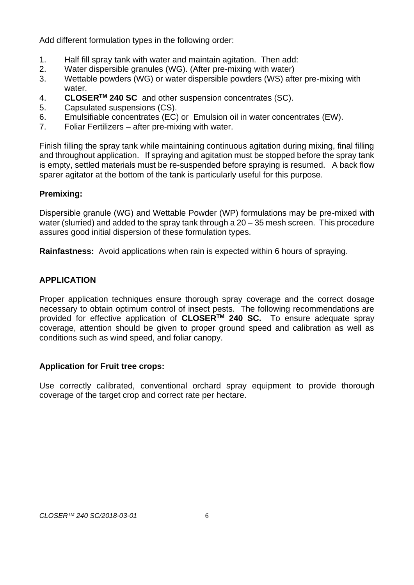Add different formulation types in the following order:

- 1. Half fill spray tank with water and maintain agitation. Then add:<br>2. Water dispersible granules (WG). (After pre-mixing with water)
- Water dispersible granules (WG). (After pre-mixing with water)
- 3. Wettable powders (WG) or water dispersible powders (WS) after pre-mixing with water.
- 4. **CLOSERTM 240 SC** and other suspension concentrates (SC).
- 5. Capsulated suspensions (CS).
- 6. Emulsifiable concentrates (EC) or Emulsion oil in water concentrates (EW).
- 7. Foliar Fertilizers after pre-mixing with water.

Finish filling the spray tank while maintaining continuous agitation during mixing, final filling and throughout application. If spraying and agitation must be stopped before the spray tank is empty, settled materials must be re-suspended before spraying is resumed. A back flow sparer agitator at the bottom of the tank is particularly useful for this purpose.

## **Premixing:**

Dispersible granule (WG) and Wettable Powder (WP) formulations may be pre-mixed with water (slurried) and added to the spray tank through a 20 – 35 mesh screen. This procedure assures good initial dispersion of these formulation types.

**Rainfastness:** Avoid applications when rain is expected within 6 hours of spraying.

# **APPLICATION**

Proper application techniques ensure thorough spray coverage and the correct dosage necessary to obtain optimum control of insect pests. The following recommendations are provided for effective application of **CLOSERTM 240 SC.** To ensure adequate spray coverage, attention should be given to proper ground speed and calibration as well as conditions such as wind speed, and foliar canopy.

#### **Application for Fruit tree crops:**

Use correctly calibrated, conventional orchard spray equipment to provide thorough coverage of the target crop and correct rate per hectare.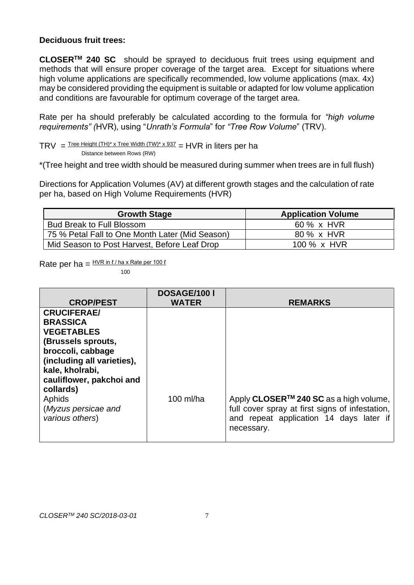#### **Deciduous fruit trees:**

**CLOSERTM 240 SC** should be sprayed to deciduous fruit trees using equipment and methods that will ensure proper coverage of the target area. Except for situations where high volume applications are specifically recommended, low volume applications (max. 4x) may be considered providing the equipment is suitable or adapted for low volume application and conditions are favourable for optimum coverage of the target area.

Rate per ha should preferably be calculated according to the formula for *"high volume requirements" (*HVR), using "*Unrath's Formula*" for *"Tree Row Volume*" (TRV).

 $TRY =$  Tree Height  $(TH)^* \times$  Tree Width  $(TW)^* \times 937 = HVR$  in liters per ha

Distance between Rows (RW)

\*(Tree height and tree width should be measured during summer when trees are in full flush)

Directions for Application Volumes (AV) at different growth stages and the calculation of rate per ha, based on High Volume Requirements (HVR)

| <b>Growth Stage</b>                             | <b>Application Volume</b> |
|-------------------------------------------------|---------------------------|
| <b>Bud Break to Full Blossom</b>                | 60 % x HVR                |
| 75 % Petal Fall to One Month Later (Mid Season) | 80 % x HVR                |
| Mid Season to Post Harvest, Before Leaf Drop    | 100 % x HVR               |

Rate per ha =  $\frac{HVR \text{ in } \ell / \text{ha} \times \text{Rate per 100 } \ell}{H}$ 

100

| <b>CROP/PEST</b>                                                                                                                                                                                                                                    | <b>DOSAGE/100 I</b><br><b>WATER</b> | <b>REMARKS</b>                                                                                                                                                 |
|-----------------------------------------------------------------------------------------------------------------------------------------------------------------------------------------------------------------------------------------------------|-------------------------------------|----------------------------------------------------------------------------------------------------------------------------------------------------------------|
| <b>CRUCIFERAE/</b><br><b>BRASSICA</b><br><b>VEGETABLES</b><br>(Brussels sprouts,<br>broccoli, cabbage<br>(including all varieties),<br>kale, kholrabi,<br>cauliflower, pakchoi and<br>collards)<br>Aphids<br>(Myzus persicae and<br>various others) | 100 ml/ha                           | Apply CLOSER <sup>™</sup> 240 SC as a high volume,<br>full cover spray at first signs of infestation,<br>and repeat application 14 days later if<br>necessary. |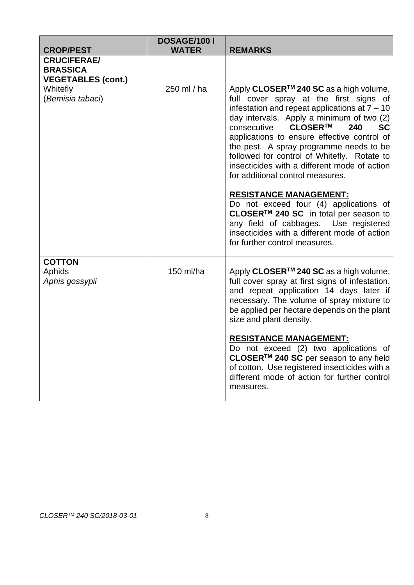| <b>CROP/PEST</b>                                                   | DOSAGE/100 I<br><b>WATER</b> | <b>REMARKS</b>                                                                                                                                                                                                                                                                                                                                                                                                                                                                                                                                                                                                                                                                                                                    |
|--------------------------------------------------------------------|------------------------------|-----------------------------------------------------------------------------------------------------------------------------------------------------------------------------------------------------------------------------------------------------------------------------------------------------------------------------------------------------------------------------------------------------------------------------------------------------------------------------------------------------------------------------------------------------------------------------------------------------------------------------------------------------------------------------------------------------------------------------------|
| <b>CRUCIFERAE/</b><br><b>BRASSICA</b><br><b>VEGETABLES (cont.)</b> |                              |                                                                                                                                                                                                                                                                                                                                                                                                                                                                                                                                                                                                                                                                                                                                   |
| Whitefly<br>(Bemisia tabaci)                                       | 250 ml / ha                  | Apply CLOSER <sup>™</sup> 240 SC as a high volume,<br>full cover spray at the first signs of<br>infestation and repeat applications at $7 - 10$<br>day intervals. Apply a minimum of two (2)<br>CLOSER™<br>240<br>consecutive<br><b>SC</b><br>applications to ensure effective control of<br>the pest. A spray programme needs to be<br>followed for control of Whitefly. Rotate to<br>insecticides with a different mode of action<br>for additional control measures.<br><b>RESISTANCE MANAGEMENT:</b><br>Do not exceed four (4) applications of<br>CLOSER <sup>™</sup> 240 SC in total per season to<br>any field of cabbages. Use registered<br>insecticides with a different mode of action<br>for further control measures. |
| <b>COTTON</b><br>Aphids<br>Aphis gossypii                          | 150 ml/ha                    | Apply CLOSER <sup>™</sup> 240 SC as a high volume,<br>full cover spray at first signs of infestation,<br>and repeat application 14 days later if<br>necessary. The volume of spray mixture to<br>be applied per hectare depends on the plant<br>size and plant density.<br><b>RESISTANCE MANAGEMENT:</b><br>Do not exceed (2) two applications of<br>CLOSER™ 240 SC per season to any field<br>of cotton. Use registered insecticides with a<br>different mode of action for further control<br>measures.                                                                                                                                                                                                                         |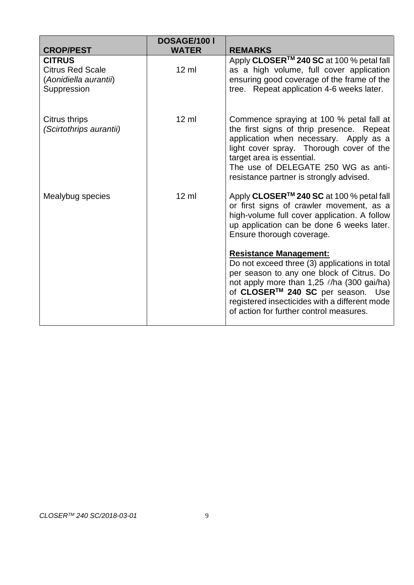| <b>CROP/PEST</b>                                                                 | DOSAGE/100 I<br><b>WATER</b> | <b>REMARKS</b>                                                                                                                                                                                                                                                                                                  |
|----------------------------------------------------------------------------------|------------------------------|-----------------------------------------------------------------------------------------------------------------------------------------------------------------------------------------------------------------------------------------------------------------------------------------------------------------|
| <b>CITRUS</b><br><b>Citrus Red Scale</b><br>(Aonidiella aurantii)<br>Suppression | $12 \text{ ml}$              | Apply CLOSER <sup>™</sup> 240 SC at 100 % petal fall<br>as a high volume, full cover application<br>ensuring good coverage of the frame of the<br>tree. Repeat application 4-6 weeks later.                                                                                                                     |
| Citrus thrips<br>(Scirtothrips aurantii)                                         | $12 \text{ ml}$              | Commence spraying at 100 % petal fall at<br>the first signs of thrip presence. Repeat<br>application when necessary. Apply as a<br>light cover spray. Thorough cover of the<br>target area is essential.<br>The use of DELEGATE 250 WG as anti-<br>resistance partner is strongly advised.                      |
| Mealybug species                                                                 | $12 \text{ ml}$              | Apply CLOSER <sup>™</sup> 240 SC at 100 % petal fall<br>or first signs of crawler movement, as a<br>high-volume full cover application. A follow<br>up application can be done 6 weeks later.<br>Ensure thorough coverage.                                                                                      |
|                                                                                  |                              | <b>Resistance Management:</b><br>Do not exceed three (3) applications in total<br>per season to any one block of Citrus. Do<br>not apply more than $1,25 \ell/ha$ (300 gai/ha)<br>of CLOSER™ 240 SC per season. Use<br>registered insecticides with a different mode<br>of action for further control measures. |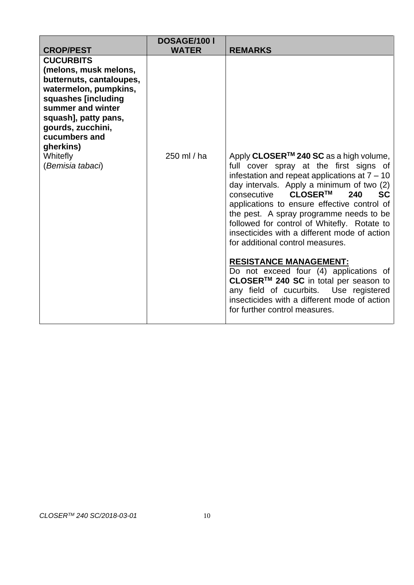| <b>CROP/PEST</b>                                                                                                                                                                                                                                      | DOSAGE/100 I<br><b>WATER</b> | <b>REMARKS</b>                                                                                                                                                                                                                                                                                                                                                                                                                                                                                                                                                                                                                                                                                                                     |
|-------------------------------------------------------------------------------------------------------------------------------------------------------------------------------------------------------------------------------------------------------|------------------------------|------------------------------------------------------------------------------------------------------------------------------------------------------------------------------------------------------------------------------------------------------------------------------------------------------------------------------------------------------------------------------------------------------------------------------------------------------------------------------------------------------------------------------------------------------------------------------------------------------------------------------------------------------------------------------------------------------------------------------------|
| <b>CUCURBITS</b><br>(melons, musk melons,<br>butternuts, cantaloupes,<br>watermelon, pumpkins,<br>squashes [including<br>summer and winter<br>squash], patty pans,<br>gourds, zucchini,<br>cucumbers and<br>gherkins)<br>Whitefly<br>(Bemisia tabaci) | 250 ml / ha                  | Apply CLOSER <sup>™</sup> 240 SC as a high volume,<br>full cover spray at the first signs of<br>infestation and repeat applications at $7 - 10$<br>day intervals. Apply a minimum of two (2)<br>CLOSER™<br>consecutive<br>240<br><b>SC</b><br>applications to ensure effective control of<br>the pest. A spray programme needs to be<br>followed for control of Whitefly. Rotate to<br>insecticides with a different mode of action<br>for additional control measures.<br><b>RESISTANCE MANAGEMENT:</b><br>Do not exceed four (4) applications of<br>CLOSER <sup>™</sup> 240 SC in total per season to<br>any field of cucurbits. Use registered<br>insecticides with a different mode of action<br>for further control measures. |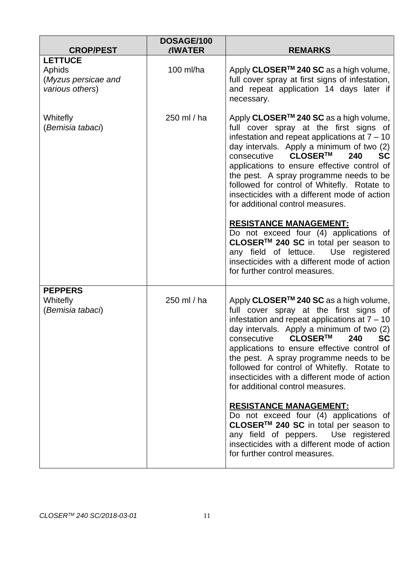| <b>CROP/PEST</b>                                                   | DOSAGE/100<br><b>LIWATER</b> | <b>REMARKS</b>                                                                                                                                                                                                                                                                                                                                                                                                                                                          |
|--------------------------------------------------------------------|------------------------------|-------------------------------------------------------------------------------------------------------------------------------------------------------------------------------------------------------------------------------------------------------------------------------------------------------------------------------------------------------------------------------------------------------------------------------------------------------------------------|
| <b>LETTUCE</b><br>Aphids<br>(Myzus persicae and<br>various others) | 100 ml/ha                    | Apply CLOSER <sup>™</sup> 240 SC as a high volume,<br>full cover spray at first signs of infestation,<br>and repeat application 14 days later if<br>necessary.                                                                                                                                                                                                                                                                                                          |
| Whitefly<br>(Bemisia tabaci)                                       | 250 ml / ha                  | Apply CLOSER <sup>™</sup> 240 SC as a high volume,<br>full cover spray at the first signs of<br>infestation and repeat applications at $7 - 10$<br>day intervals. Apply a minimum of two (2)<br>CLOSER™<br>consecutive<br>240<br><b>SC</b><br>applications to ensure effective control of<br>the pest. A spray programme needs to be<br>followed for control of Whitefly. Rotate to<br>insecticides with a different mode of action<br>for additional control measures. |
|                                                                    |                              | <b>RESISTANCE MANAGEMENT:</b><br>Do not exceed four (4) applications of<br>CLOSER™ 240 SC in total per season to<br>any field of lettuce. Use registered<br>insecticides with a different mode of action<br>for further control measures.                                                                                                                                                                                                                               |
| <b>PEPPERS</b><br>Whitefly<br>(Bemisia tabaci)                     | 250 ml / ha                  | Apply CLOSER <sup>™</sup> 240 SC as a high volume,<br>full cover spray at the first signs of<br>infestation and repeat applications at $7 - 10$<br>day intervals. Apply a minimum of two (2)<br>consecutive CLOSER™<br>240<br><b>SC</b><br>applications to ensure effective control of<br>the pest. A spray programme needs to be<br>followed for control of Whitefly. Rotate to<br>insecticides with a different mode of action<br>for additional control measures.    |
|                                                                    |                              | <b>RESISTANCE MANAGEMENT:</b><br>Do not exceed four (4) applications of<br>CLOSER™ 240 SC in total per season to<br>any field of peppers. Use registered<br>insecticides with a different mode of action<br>for further control measures.                                                                                                                                                                                                                               |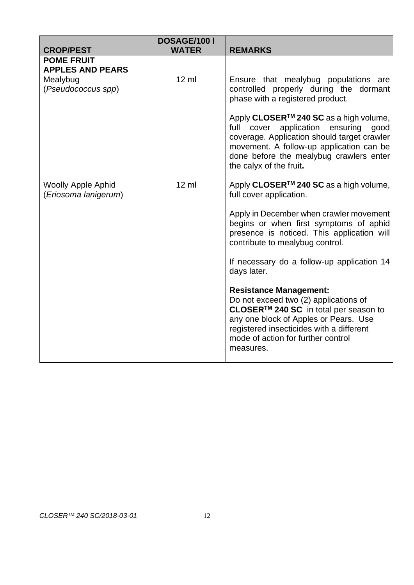| <b>CROP/PEST</b>                                  | DOSAGE/100 I<br><b>WATER</b> | <b>REMARKS</b>                                                                                                                                                                                                                                                 |
|---------------------------------------------------|------------------------------|----------------------------------------------------------------------------------------------------------------------------------------------------------------------------------------------------------------------------------------------------------------|
| <b>POME FRUIT</b><br><b>APPLES AND PEARS</b>      |                              |                                                                                                                                                                                                                                                                |
| Mealybug<br>(Pseudococcus spp)                    | $12 \text{ ml}$              | Ensure that mealybug populations are<br>controlled properly during the dormant<br>phase with a registered product.                                                                                                                                             |
|                                                   |                              | Apply CLOSER <sup>™</sup> 240 SC as a high volume,<br>full cover application ensuring<br>good<br>coverage. Application should target crawler<br>movement. A follow-up application can be<br>done before the mealybug crawlers enter<br>the calyx of the fruit. |
| <b>Woolly Apple Aphid</b><br>(Eriosoma lanigerum) | $12 \text{ ml}$              | Apply CLOSER <sup>™</sup> 240 SC as a high volume,<br>full cover application.                                                                                                                                                                                  |
|                                                   |                              | Apply in December when crawler movement<br>begins or when first symptoms of aphid<br>presence is noticed. This application will<br>contribute to mealybug control.                                                                                             |
|                                                   |                              | If necessary do a follow-up application 14<br>days later.                                                                                                                                                                                                      |
|                                                   |                              | <b>Resistance Management:</b><br>Do not exceed two (2) applications of<br>CLOSER™ 240 SC in total per season to<br>any one block of Apples or Pears. Use<br>registered insecticides with a different<br>mode of action for further control<br>measures.        |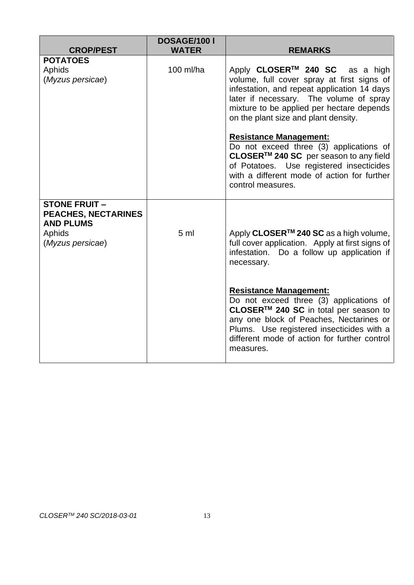|                                                                                              | DOSAGE/100 I   |                                                                                                                                                                                                                                                                         |
|----------------------------------------------------------------------------------------------|----------------|-------------------------------------------------------------------------------------------------------------------------------------------------------------------------------------------------------------------------------------------------------------------------|
| <b>CROP/PEST</b>                                                                             | <b>WATER</b>   | <b>REMARKS</b>                                                                                                                                                                                                                                                          |
| <b>POTATOES</b><br>Aphids<br>(Myzus persicae)                                                | 100 ml/ha      | Apply CLOSER <sup>™</sup> 240 SC as a high<br>volume, full cover spray at first signs of<br>infestation, and repeat application 14 days<br>later if necessary. The volume of spray<br>mixture to be applied per hectare depends<br>on the plant size and plant density. |
|                                                                                              |                | <b>Resistance Management:</b><br>Do not exceed three (3) applications of<br>CLOSER <sup>™</sup> 240 SC per season to any field<br>of Potatoes. Use registered insecticides<br>with a different mode of action for further<br>control measures.                          |
| <b>STONE FRUIT-</b><br>PEACHES, NECTARINES<br><b>AND PLUMS</b><br>Aphids<br>(Myzus persicae) | 5 <sub>m</sub> | Apply CLOSER <sup>™</sup> 240 SC as a high volume,<br>full cover application. Apply at first signs of<br>infestation. Do a follow up application if<br>necessary.                                                                                                       |
|                                                                                              |                | <b>Resistance Management:</b><br>Do not exceed three (3) applications of<br>CLOSER™ 240 SC in total per season to<br>any one block of Peaches, Nectarines or<br>Plums. Use registered insecticides with a<br>different mode of action for further control<br>measures.  |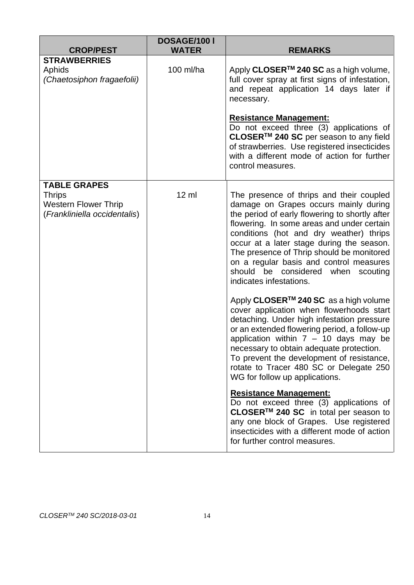| <b>CROP/PEST</b>                                                                                    | <b>DOSAGE/100 I</b><br><b>WATER</b> | <b>REMARKS</b>                                                                                                                                                                                                                                                                                                                                                                                                                     |
|-----------------------------------------------------------------------------------------------------|-------------------------------------|------------------------------------------------------------------------------------------------------------------------------------------------------------------------------------------------------------------------------------------------------------------------------------------------------------------------------------------------------------------------------------------------------------------------------------|
| <b>STRAWBERRIES</b><br>Aphids<br>(Chaetosiphon fragaefolii)                                         | 100 ml/ha                           | Apply CLOSER <sup>™</sup> 240 SC as a high volume,<br>full cover spray at first signs of infestation,<br>and repeat application 14 days later if<br>necessary.                                                                                                                                                                                                                                                                     |
|                                                                                                     |                                     | <b>Resistance Management:</b><br>Do not exceed three (3) applications of<br>CLOSER <sup>™</sup> 240 SC per season to any field<br>of strawberries. Use registered insecticides<br>with a different mode of action for further<br>control measures.                                                                                                                                                                                 |
| <b>TABLE GRAPES</b><br><b>Thrips</b><br><b>Western Flower Thrip</b><br>(Frankliniella occidentalis) | $12 \mathrm{ml}$                    | The presence of thrips and their coupled<br>damage on Grapes occurs mainly during<br>the period of early flowering to shortly after<br>flowering. In some areas and under certain<br>conditions (hot and dry weather) thrips<br>occur at a later stage during the season.<br>The presence of Thrip should be monitored<br>on a regular basis and control measures<br>should be considered when scouting<br>indicates infestations. |
|                                                                                                     |                                     | Apply CLOSER <sup>™</sup> 240 SC as a high volume<br>cover application when flowerhoods start<br>detaching. Under high infestation pressure<br>or an extended flowering period, a follow-up<br>application within $7 - 10$ days may be<br>necessary to obtain adequate protection.<br>To prevent the development of resistance,<br>rotate to Tracer 480 SC or Delegate 250<br>WG for follow up applications.                       |
|                                                                                                     |                                     | <b>Resistance Management:</b><br>Do not exceed three (3) applications of<br>CLOSER <sup>™</sup> 240 SC in total per season to<br>any one block of Grapes. Use registered<br>insecticides with a different mode of action<br>for further control measures.                                                                                                                                                                          |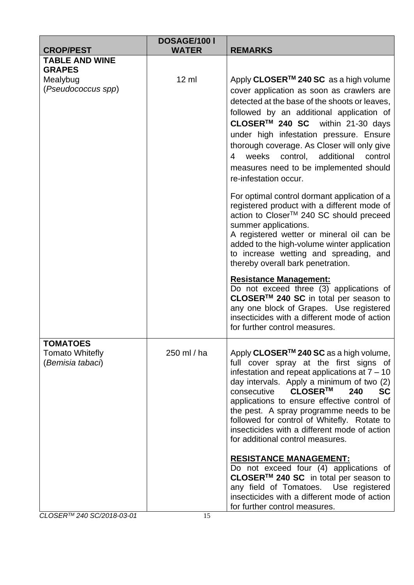| <b>CROP/PEST</b>                                              | DOSAGE/100 I<br><b>WATER</b> | <b>REMARKS</b>                                                                                                                                                                                                                                                                                                                                                                                                                                                                                                                                                                                                                                                                                                                                                                                        |
|---------------------------------------------------------------|------------------------------|-------------------------------------------------------------------------------------------------------------------------------------------------------------------------------------------------------------------------------------------------------------------------------------------------------------------------------------------------------------------------------------------------------------------------------------------------------------------------------------------------------------------------------------------------------------------------------------------------------------------------------------------------------------------------------------------------------------------------------------------------------------------------------------------------------|
| <b>TABLE AND WINE</b>                                         |                              |                                                                                                                                                                                                                                                                                                                                                                                                                                                                                                                                                                                                                                                                                                                                                                                                       |
| <b>GRAPES</b>                                                 |                              |                                                                                                                                                                                                                                                                                                                                                                                                                                                                                                                                                                                                                                                                                                                                                                                                       |
| Mealybug<br>(Pseudococcus spp)                                | $12 \mathrm{ml}$             | Apply CLOSER <sup>™</sup> 240 SC as a high volume<br>cover application as soon as crawlers are<br>detected at the base of the shoots or leaves,<br>followed by an additional application of<br>CLOSER <sup>™</sup> 240 SC within 21-30 days<br>under high infestation pressure. Ensure<br>thorough coverage. As Closer will only give<br>weeks<br>control, additional<br>control<br>4<br>measures need to be implemented should<br>re-infestation occur.<br>For optimal control dormant application of a<br>registered product with a different mode of<br>action to Closer™ 240 SC should preceed<br>summer applications.<br>A registered wetter or mineral oil can be<br>added to the high-volume winter application<br>to increase wetting and spreading, and<br>thereby overall bark penetration. |
|                                                               |                              | <b>Resistance Management:</b><br>Do not exceed three (3) applications of<br>CLOSER™ 240 SC in total per season to<br>any one block of Grapes. Use registered<br>insecticides with a different mode of action<br>for further control measures.                                                                                                                                                                                                                                                                                                                                                                                                                                                                                                                                                         |
| <b>TOMATOES</b><br><b>Tomato Whitefly</b><br>(Bemisia tabaci) | 250 ml / ha                  | Apply CLOSER <sup>™</sup> 240 SC as a high volume,<br>full cover spray at the first signs of<br>infestation and repeat applications at $7 - 10$<br>day intervals. Apply a minimum of two (2)<br>CLOSER™<br>consecutive<br><b>SC</b><br>240<br>applications to ensure effective control of<br>the pest. A spray programme needs to be<br>followed for control of Whitefly. Rotate to<br>insecticides with a different mode of action<br>for additional control measures.                                                                                                                                                                                                                                                                                                                               |
|                                                               |                              | <b>RESISTANCE MANAGEMENT:</b><br>Do not exceed four (4) applications of<br>CLOSER™ 240 SC in total per season to<br>any field of Tomatoes. Use registered<br>insecticides with a different mode of action<br>for further control measures.                                                                                                                                                                                                                                                                                                                                                                                                                                                                                                                                                            |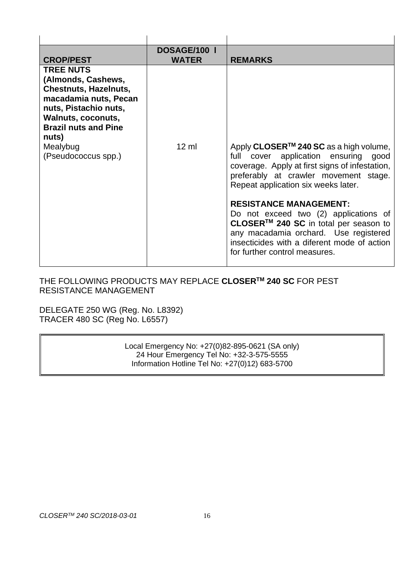| <b>CROP/PEST</b>                                                                                                                                                                              | <b>DOSAGE/100 I</b><br><b>WATER</b> | <b>REMARKS</b>                                                                                                                                                                                                                           |
|-----------------------------------------------------------------------------------------------------------------------------------------------------------------------------------------------|-------------------------------------|------------------------------------------------------------------------------------------------------------------------------------------------------------------------------------------------------------------------------------------|
| <b>TREE NUTS</b><br>(Almonds, Cashews,<br><b>Chestnuts, Hazelnuts,</b><br>macadamia nuts, Pecan<br>nuts, Pistachio nuts,<br><b>Walnuts, coconuts,</b><br><b>Brazil nuts and Pine</b><br>nuts) |                                     |                                                                                                                                                                                                                                          |
| Mealybug<br>(Pseudococcus spp.)                                                                                                                                                               | $12 \text{ ml}$                     | Apply CLOSER <sup>™</sup> 240 SC as a high volume,<br>cover application ensuring good<br>full<br>coverage. Apply at first signs of infestation,<br>preferably at crawler movement stage.<br>Repeat application six weeks later.          |
|                                                                                                                                                                                               |                                     | <b>RESISTANCE MANAGEMENT:</b><br>Do not exceed two (2) applications of<br>CLOSER™ 240 SC in total per season to<br>any macadamia orchard. Use registered<br>insecticides with a diferent mode of action<br>for further control measures. |

# THE FOLLOWING PRODUCTS MAY REPLACE **CLOSERTM 240 SC** FOR PEST RESISTANCE MANAGEMENT

DELEGATE 250 WG (Reg. No. L8392) TRACER 480 SC (Reg No. L6557)

> Local Emergency No: +27(0)82-895-0621 (SA only) 24 Hour Emergency Tel No: +32-3-575-5555 Information Hotline Tel No: +27(0)12) 683-5700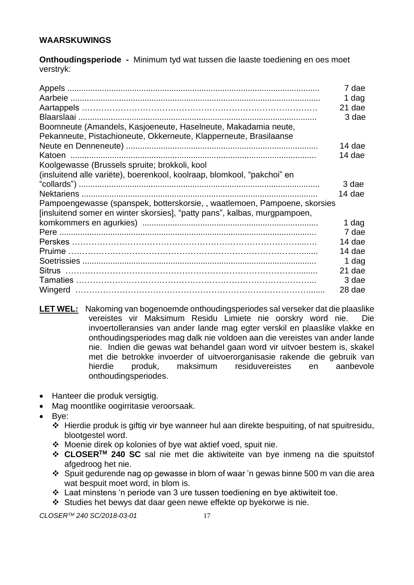# **WAARSKUWINGS**

**Onthoudingsperiode -** Minimum tyd wat tussen die laaste toediening en oes moet verstryk:

| Boomneute (Amandels, Kasjoeneute, Haselneute, Makadamia neute,<br>Pekanneute, Pistachioneute, Okkerneute, Klapperneute, Brasilaanse                    | 7 dae<br>1 dag<br>21 dae<br>3 dae |
|--------------------------------------------------------------------------------------------------------------------------------------------------------|-----------------------------------|
|                                                                                                                                                        | 14 dae                            |
|                                                                                                                                                        | 14 dae                            |
| Koolgewasse (Brussels spruite; brokkoli, kool<br>(insluitend alle variëte), boerenkool, koolraap, blomkool, "pakchoi" en                               |                                   |
|                                                                                                                                                        | 3 dae                             |
|                                                                                                                                                        | 14 dae                            |
| Pampoengewasse (spanspek, botterskorsie, , waatlemoen, Pampoene, skorsies<br>[insluitend somer en winter skorsies], "patty pans", kalbas, murgpampoen, |                                   |
|                                                                                                                                                        | 1 dag                             |
|                                                                                                                                                        | 7 dae                             |
|                                                                                                                                                        | 14 dae                            |
|                                                                                                                                                        | 14 dae                            |
|                                                                                                                                                        | 1 dag                             |
|                                                                                                                                                        | 21 dae                            |
|                                                                                                                                                        | 3 dae                             |
|                                                                                                                                                        | 28 dae                            |

- **LET WEL:** Nakoming van bogenoemde onthoudingsperiodes sal verseker dat die plaaslike vereistes vir Maksimum Residu Limiete nie oorskry word nie. Die invoertolleransies van ander lande mag egter verskil en plaaslike vlakke en onthoudingsperiodes mag dalk nie voldoen aan die vereistes van ander lande nie. Indien die gewas wat behandel gaan word vir uitvoer bestem is, skakel met die betrokke invoerder of uitvoerorganisasie rakende die gebruik van hierdie produk, maksimum residuvereistes en aanbevole onthoudingsperiodes.
- Hanteer die produk versigtig.
- Mag moontlike oogirritasie veroorsaak.
- Bye:
	- ❖ Hierdie produk is giftig vir bye wanneer hul aan direkte bespuiting, of nat spuitresidu, blootgestel word.
	- ❖ Moenie direk op kolonies of bye wat aktief voed, spuit nie.
	- ❖ **CLOSERTM 240 SC** sal nie met die aktiwiteite van bye inmeng na die spuitstof afgedroog het nie.
	- ❖ Spuit gedurende nag op gewasse in blom of waar 'n gewas binne 500 m van die area wat bespuit moet word, in blom is.
	- ❖ Laat minstens 'n periode van 3 ure tussen toediening en bye aktiwiteit toe.
	- ❖ Studies het bewys dat daar geen newe effekte op byekorwe is nie.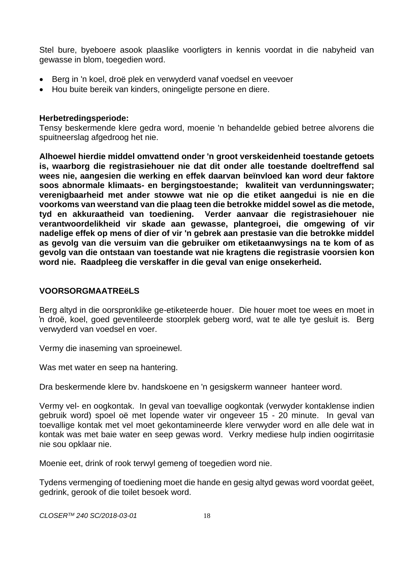Stel bure, byeboere asook plaaslike voorligters in kennis voordat in die nabyheid van gewasse in blom, toegedien word.

- Berg in 'n koel, droë plek en verwyderd vanaf voedsel en veevoer
- Hou buite bereik van kinders, oningeligte persone en diere.

#### **Herbetredingsperiode:**

Tensy beskermende klere gedra word, moenie 'n behandelde gebied betree alvorens die spuitneerslag afgedroog het nie.

**Alhoewel hierdie middel omvattend onder 'n groot verskeidenheid toestande getoets is, waarborg die registrasiehouer nie dat dit onder alle toestande doeltreffend sal wees nie, aangesien die werking en effek daarvan beïnvloed kan word deur faktore soos abnormale klimaats- en bergingstoestande; kwaliteit van verdunningswater; verenigbaarheid met ander stowwe wat nie op die etiket aangedui is nie en die voorkoms van weerstand van die plaag teen die betrokke middel sowel as die metode, tyd en akkuraatheid van toediening. Verder aanvaar die registrasiehouer nie verantwoordelikheid vir skade aan gewasse, plantegroei, die omgewing of vir nadelige effek op mens of dier of vir 'n gebrek aan prestasie van die betrokke middel as gevolg van die versuim van die gebruiker om etiketaanwysings na te kom of as gevolg van die ontstaan van toestande wat nie kragtens die registrasie voorsien kon word nie. Raadpleeg die verskaffer in die geval van enige onsekerheid.**

#### **VOORSORGMAATREëLS**

Berg altyd in die oorspronklike ge-etiketeerde houer. Die houer moet toe wees en moet in 'n droë, koel, goed geventileerde stoorplek geberg word, wat te alle tye gesluit is. Berg verwyderd van voedsel en voer.

Vermy die inaseming van sproeinewel.

Was met water en seep na hantering.

Dra beskermende klere bv. handskoene en 'n gesigskerm wanneer hanteer word.

Vermy vel- en oogkontak. In geval van toevallige oogkontak (verwyder kontaklense indien gebruik word) spoel oë met lopende water vir ongeveer 15 - 20 minute. In geval van toevallige kontak met vel moet gekontamineerde klere verwyder word en alle dele wat in kontak was met baie water en seep gewas word. Verkry mediese hulp indien oogirritasie nie sou opklaar nie.

Moenie eet, drink of rook terwyl gemeng of toegedien word nie.

Tydens vermenging of toediening moet die hande en gesig altyd gewas word voordat geëet, gedrink, gerook of die toilet besoek word.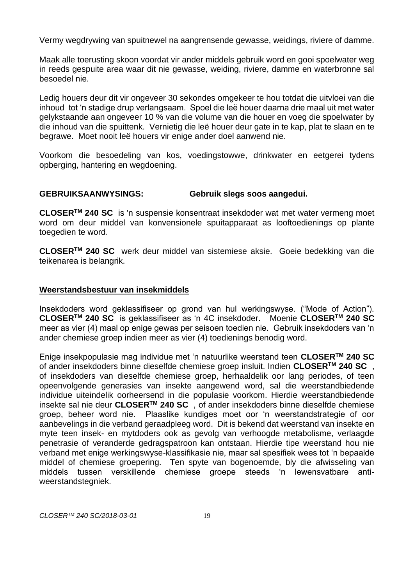Vermy wegdrywing van spuitnewel na aangrensende gewasse, weidings, riviere of damme.

Maak alle toerusting skoon voordat vir ander middels gebruik word en gooi spoelwater weg in reeds gespuite area waar dit nie gewasse, weiding, riviere, damme en waterbronne sal besoedel nie.

Ledig houers deur dit vir ongeveer 30 sekondes omgekeer te hou totdat die uitvloei van die inhoud tot 'n stadige drup verlangsaam. Spoel die leë houer daarna drie maal uit met water gelykstaande aan ongeveer 10 % van die volume van die houer en voeg die spoelwater by die inhoud van die spuittenk. Vernietig die leë houer deur gate in te kap, plat te slaan en te begrawe. Moet nooit leë houers vir enige ander doel aanwend nie.

Voorkom die besoedeling van kos, voedingstowwe, drinkwater en eetgerei tydens opberging, hantering en wegdoening.

#### **GEBRUIKSAANWYSINGS: Gebruik slegs soos aangedui.**

**CLOSERTM 240 SC** is 'n suspensie konsentraat insekdoder wat met water vermeng moet word om deur middel van konvensionele spuitapparaat as looftoedienings op plante toegedien te word.

**CLOSERTM 240 SC** werk deur middel van sistemiese aksie. Goeie bedekking van die teikenarea is belangrik.

#### **Weerstandsbestuur van insekmiddels**

Insekdoders word geklassifiseer op grond van hul werkingswyse. ("Mode of Action"). **CLOSERTM 240 SC** is geklassifiseer as 'n 4C insekdoder. Moenie **CLOSERTM 240 SC**  meer as vier (4) maal op enige gewas per seisoen toedien nie. Gebruik insekdoders van 'n ander chemiese groep indien meer as vier (4) toedienings benodig word.

Enige insekpopulasie mag individue met 'n natuurlike weerstand teen **CLOSERTM 240 SC**  of ander insekdoders binne dieselfde chemiese groep insluit. Indien **CLOSERTM 240 SC** , of insekdoders van dieselfde chemiese groep, herhaaldelik oor lang periodes, of teen opeenvolgende generasies van insekte aangewend word, sal die weerstandbiedende individue uiteindelik oorheersend in die populasie voorkom. Hierdie weerstandbiedende insekte sal nie deur **CLOSERTM 240 SC** , of ander insekdoders binne dieselfde chemiese groep, beheer word nie. Plaaslike kundiges moet oor 'n weerstandstrategie of oor aanbevelings in die verband geraadpleeg word. Dit is bekend dat weerstand van insekte en myte teen insek- en mytdoders ook as gevolg van verhoogde metabolisme, verlaagde penetrasie of veranderde gedragspatroon kan ontstaan. Hierdie tipe weerstand hou nie verband met enige werkingswyse-klassifikasie nie, maar sal spesifiek wees tot 'n bepaalde middel of chemiese groepering. Ten spyte van bogenoemde, bly die afwisseling van middels tussen verskillende chemiese groepe steeds 'n lewensvatbare antiweerstandstegniek.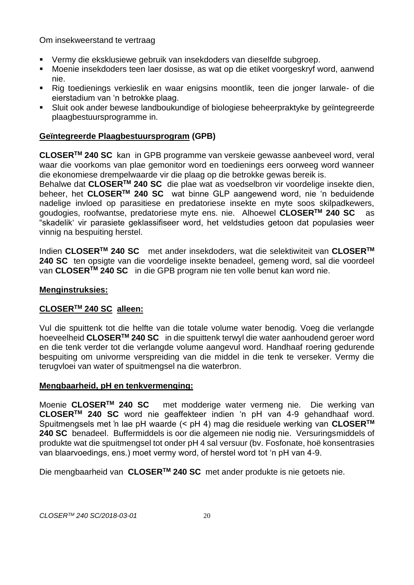Om insekweerstand te vertraag

- Vermy die eksklusiewe gebruik van insekdoders van dieselfde subgroep.
- Moenie insekdoders teen laer dosisse, as wat op die etiket voorgeskryf word, aanwend nie.
- Rig toedienings verkieslik en waar enigsins moontlik, teen die jonger larwale- of die eierstadium van 'n betrokke plaag.
- Sluit ook ander bewese landboukundige of biologiese beheerpraktyke by geïntegreerde plaagbestuursprogramme in.

# **Geïntegreerde Plaagbestuursprogram (GPB)**

**CLOSERTM 240 SC** kan in GPB programme van verskeie gewasse aanbeveel word, veral waar die voorkoms van plae gemonitor word en toedienings eers oorweeg word wanneer die ekonomiese drempelwaarde vir die plaag op die betrokke gewas bereik is.

Behalwe dat **CLOSERTM 240 SC** die plae wat as voedselbron vir voordelige insekte dien, beheer, het **CLOSERTM 240 SC** wat binne GLP aangewend word, nie 'n beduidende nadelige invloed op parasitiese en predatoriese insekte en myte soos skilpadkewers, goudogies, roofwantse, predatoriese myte ens. nie. Alhoewel **CLOSERTM 240 SC** as "skadelik' vir parasiete geklassifiseer word, het veldstudies getoon dat populasies weer vinnig na bespuiting herstel.

Indien **CLOSERTM 240 SC** met ander insekdoders, wat die selektiwiteit van **CLOSERTM 240 SC** ten opsigte van die voordelige insekte benadeel, gemeng word, sal die voordeel van **CLOSERTM 240 SC** in die GPB program nie ten volle benut kan word nie.

#### **Menginstruksies:**

#### **CLOSERTM 240 SC alleen:**

Vul die spuittenk tot die helfte van die totale volume water benodig. Voeg die verlangde hoeveelheid **CLOSERTM 240 SC** in die spuittenk terwyl die water aanhoudend geroer word en die tenk verder tot die verlangde volume aangevul word. Handhaaf roering gedurende bespuiting om univorme verspreiding van die middel in die tenk te verseker. Vermy die terugvloei van water of spuitmengsel na die waterbron.

#### **Mengbaarheid, pH en tenkvermenging:**

Moenie **CLOSERTM 240 SC** met modderige water vermeng nie. Die werking van **CLOSERTM 240 SC** word nie geaffekteer indien 'n pH van 4-9 gehandhaaf word. Spuitmengsels met 'n lae pH waarde (< pH 4) mag die residuele werking van **CLOSERTM 240 SC** benadeel. Buffermiddels is oor die algemeen nie nodig nie. Versuringsmiddels of produkte wat die spuitmengsel tot onder pH 4 sal versuur (bv. Fosfonate, hoë konsentrasies van blaarvoedings, ens.) moet vermy word, of herstel word tot 'n pH van 4-9.

Die mengbaarheid van **CLOSERTM 240 SC** met ander produkte is nie getoets nie.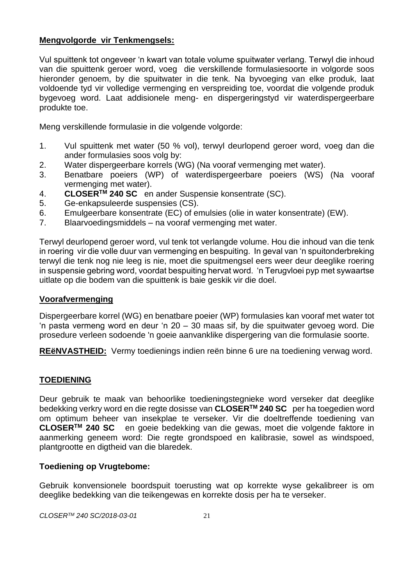#### **Mengvolgorde vir Tenkmengsels:**

Vul spuittenk tot ongeveer 'n kwart van totale volume spuitwater verlang. Terwyl die inhoud van die spuittenk geroer word, voeg die verskillende formulasiesoorte in volgorde soos hieronder genoem, by die spuitwater in die tenk. Na byvoeging van elke produk, laat voldoende tyd vir volledige vermenging en verspreiding toe, voordat die volgende produk bygevoeg word. Laat addisionele meng- en dispergeringstyd vir waterdispergeerbare produkte toe.

Meng verskillende formulasie in die volgende volgorde:

- 1. Vul spuittenk met water (50 % vol), terwyl deurlopend geroer word, voeg dan die ander formulasies soos volg by:
- 2. Water dispergeerbare korrels (WG) (Na vooraf vermenging met water).
- 3. Benatbare poeiers (WP) of waterdispergeerbare poeiers (WS) (Na vooraf vermenging met water).
- 4. **CLOSERTM 240 SC** en ander Suspensie konsentrate (SC).
- 5. Ge-enkapsuleerde suspensies (CS).
- 6. Emulgeerbare konsentrate (EC) of emulsies (olie in water konsentrate) (EW).
- 7. Blaarvoedingsmiddels na vooraf vermenging met water.

Terwyl deurlopend geroer word, vul tenk tot verlangde volume. Hou die inhoud van die tenk in roering vir die volle duur van vermenging en bespuiting. In geval van 'n spuitonderbreking terwyl die tenk nog nie leeg is nie, moet die spuitmengsel eers weer deur deeglike roering in suspensie gebring word, voordat bespuiting hervat word. 'n Terugvloei pyp met sywaartse uitlate op die bodem van die spuittenk is baie geskik vir die doel.

#### **Voorafvermenging**

Dispergeerbare korrel (WG) en benatbare poeier (WP) formulasies kan vooraf met water tot 'n pasta vermeng word en deur 'n 20 – 30 maas sif, by die spuitwater gevoeg word. Die prosedure verleen sodoende 'n goeie aanvanklike dispergering van die formulasie soorte.

**REëNVASTHEID:** Vermy toedienings indien reën binne 6 ure na toediening verwag word.

# **TOEDIENING**

Deur gebruik te maak van behoorlike toedieningstegnieke word verseker dat deeglike bedekking verkry word en die regte dosisse van **CLOSERTM 240 SC** per ha toegedien word om optimum beheer van insekplae te verseker. Vir die doeltreffende toediening van **CLOSERTM 240 SC** en goeie bedekking van die gewas, moet die volgende faktore in aanmerking geneem word: Die regte grondspoed en kalibrasie, sowel as windspoed, plantgrootte en digtheid van die blaredek.

#### **Toediening op Vrugtebome:**

Gebruik konvensionele boordspuit toerusting wat op korrekte wyse gekalibreer is om deeglike bedekking van die teikengewas en korrekte dosis per ha te verseker.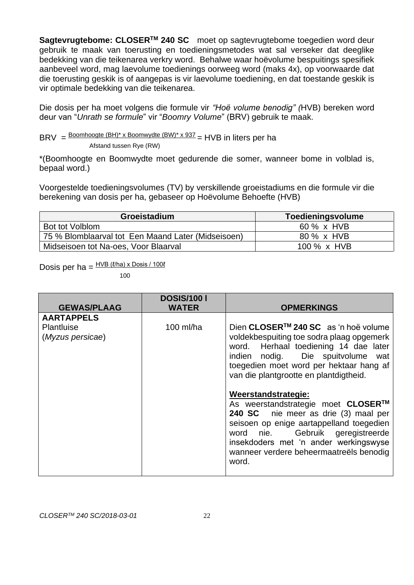**Sagtevrugtebome: CLOSERTM 240 SC** moet op sagtevrugtebome toegedien word deur gebruik te maak van toerusting en toedieningsmetodes wat sal verseker dat deeglike bedekking van die teikenarea verkry word. Behalwe waar hoëvolume bespuitings spesifiek aanbeveel word, mag laevolume toedienings oorweeg word (maks 4x), op voorwaarde dat die toerusting geskik is of aangepas is vir laevolume toediening, en dat toestande geskik is vir optimale bedekking van die teikenarea.

Die dosis per ha moet volgens die formule vir *"Hoë volume benodig" (*HVB) bereken word deur van "*Unrath se formule*" vir "*Boomry Volume*" (BRV) gebruik te maak.

BRV =  $\frac{\text{Boomhoogte (BH)}^* x \text{ Boomwydte (BW)}^* x \cdot 937}{x}$  = HVB in liters per ha Afstand tussen Rye (RW)

\*(Boomhoogte en Boomwydte moet gedurende die somer, wanneer bome in volblad is, bepaal word.)

Voorgestelde toedieningsvolumes (TV) by verskillende groeistadiums en die formule vir die berekening van dosis per ha, gebaseer op Hoëvolume Behoefte (HVB)

| Groeistadium                                       | Toedieningsvolume |
|----------------------------------------------------|-------------------|
| Bot tot Volblom                                    | 60 % x HVB        |
| 75 % Blomblaarval tot Een Maand Later (Midseisoen) | 80 % x HVB        |
| Midseisoen tot Na-oes, Voor Blaarval               | 100 % x HVB       |

Dosis per ha =  $\frac{HVB (l/ha) \times Dosis / 100l}{H}$ 

100

|                                | <b>DOSIS/100 I</b> |                                                                                                                                                                                                                                                                                   |
|--------------------------------|--------------------|-----------------------------------------------------------------------------------------------------------------------------------------------------------------------------------------------------------------------------------------------------------------------------------|
| <b>GEWAS/PLAAG</b>             | <b>WATER</b>       | <b>OPMERKINGS</b>                                                                                                                                                                                                                                                                 |
| <b>AARTAPPELS</b>              |                    |                                                                                                                                                                                                                                                                                   |
| Plantluise<br>(Myzus persicae) | 100 $ml/ha$        | Dien CLOSER <sup>TM</sup> 240 SC as 'n hoë volume<br>voldekbespuiting toe sodra plaag opgemerk<br>word. Herhaal toediening 14 dae later<br>indien nodig. Die spuitvolume wat<br>toegedien moet word per hektaar hang af<br>van die plantgrootte en plantdigtheid.                 |
|                                |                    | Weerstandstrategie:<br>As weerstandstrategie moet CLOSER™<br>240 SC nie meer as drie (3) maal per<br>seisoen op enige aartappelland toegedien<br>Gebruik geregistreerde<br>word nie.<br>insekdoders met 'n ander werkingswyse<br>wanneer verdere beheermaatreëls benodig<br>word. |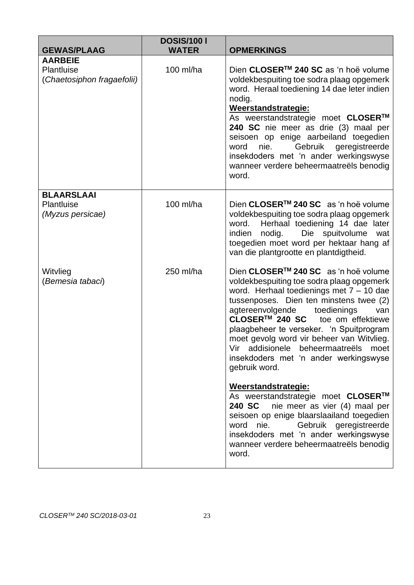| <b>GEWAS/PLAAG</b>                                         | <b>DOSIS/100 I</b><br><b>WATER</b> | <b>OPMERKINGS</b>                                                                                                                                                                                                                                                                                                                                                                                                                                                  |
|------------------------------------------------------------|------------------------------------|--------------------------------------------------------------------------------------------------------------------------------------------------------------------------------------------------------------------------------------------------------------------------------------------------------------------------------------------------------------------------------------------------------------------------------------------------------------------|
| <b>AARBEIE</b><br>Plantluise<br>(Chaetosiphon fragaefolii) | 100 ml/ha                          | Dien CLOSER™ 240 SC as 'n hoë volume<br>voldekbespuiting toe sodra plaag opgemerk<br>word. Heraal toediening 14 dae leter indien<br>nodig.<br>Weerstandstrategie:<br>As weerstandstrategie moet CLOSER™<br>240 SC nie meer as drie (3) maal per<br>seisoen op enige aarbeiland toegedien<br>Gebruik geregistreerde<br>nie.<br>word<br>insekdoders met 'n ander werkingswyse<br>wanneer verdere beheermaatreëls benodig<br>word.                                    |
| <b>BLAARSLAAI</b><br>Plantluise<br>(Myzus persicae)        | 100 ml/ha                          | Dien CLOSER <sup>™</sup> 240 SC as 'n hoë volume<br>voldekbespuiting toe sodra plaag opgemerk<br>Herhaal toediening 14 dae later<br>word.<br>nodig.<br>Die spuitvolume<br>indien<br>wat<br>toegedien moet word per hektaar hang af<br>van die plantgrootte en plantdigtheid.                                                                                                                                                                                       |
| Witvlieg<br>(Bemesia tabaci)                               | 250 ml/ha                          | Dien CLOSER <sup>™</sup> 240 SC as 'n hoë volume<br>voldekbespuiting toe sodra plaag opgemerk<br>word. Herhaal toedienings met $7 - 10$ dae<br>tussenposes. Dien ten minstens twee (2)<br>agtereenvolgende<br>toedienings<br>van<br>CLOSER™ 240 SC<br>toe om effektiewe<br>plaagbeheer te verseker. 'n Spuitprogram<br>moet gevolg word vir beheer van Witvlieg.<br>Vir addisionele beheermaatreëls moet<br>insekdoders met 'n ander werkingswyse<br>gebruik word. |
|                                                            |                                    | Weerstandstrategie:<br>As weerstandstrategie moet CLOSER™<br>240 SC<br>nie meer as vier (4) maal per<br>seisoen op enige blaarslaailand toegedien<br>word<br>nie.<br>Gebruik geregistreerde<br>insekdoders met 'n ander werkingswyse<br>wanneer verdere beheermaatreëls benodig<br>word.                                                                                                                                                                           |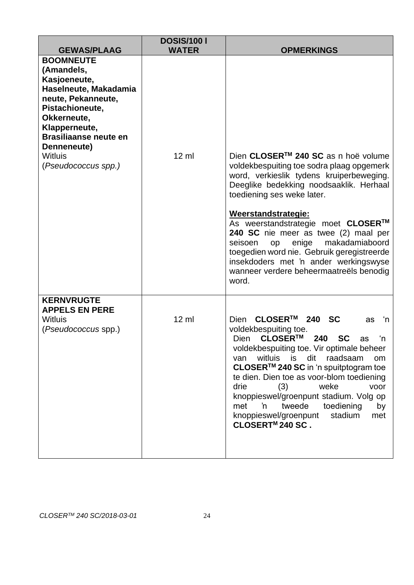| <b>GEWAS/PLAAG</b>                                                                                                                                                                                                                       | <b>DOSIS/100 I</b><br><b>WATER</b> | <b>OPMERKINGS</b>                                                                                                                                                                                                                                                                                                                                                                                                                                                                                   |
|------------------------------------------------------------------------------------------------------------------------------------------------------------------------------------------------------------------------------------------|------------------------------------|-----------------------------------------------------------------------------------------------------------------------------------------------------------------------------------------------------------------------------------------------------------------------------------------------------------------------------------------------------------------------------------------------------------------------------------------------------------------------------------------------------|
| <b>BOOMNEUTE</b><br>(Amandels,<br>Kasjoeneute,<br>Haselneute, Makadamia<br>neute, Pekanneute,<br>Pistachioneute,<br>Okkerneute,<br>Klapperneute,<br><b>Brasiliaanse neute en</b><br>Denneneute)<br><b>Witluis</b><br>(Pseudococcus spp.) | $12 \text{ ml}$                    | Dien CLOSER™ 240 SC as n hoë volume<br>voldekbespuiting toe sodra plaag opgemerk<br>word, verkieslik tydens kruiperbeweging.<br>Deeglike bedekking noodsaaklik. Herhaal<br>toediening ses weke later.<br>Weerstandstrategie:<br>As weerstandstrategie moet CLOSER™<br>240 SC nie meer as twee (2) maal per<br>makadamiaboord<br>enige<br>seisoen<br>op<br>toegedien word nie. Gebruik geregistreerde<br>insekdoders met 'n ander werkingswyse<br>wanneer verdere beheermaatreëls benodig            |
|                                                                                                                                                                                                                                          |                                    | word.                                                                                                                                                                                                                                                                                                                                                                                                                                                                                               |
| <b>KERNVRUGTE</b><br><b>APPELS EN PERE</b><br><b>Witluis</b><br>(Pseudococcus spp.)                                                                                                                                                      | $12 \text{ ml}$                    | CLOSER™<br>240 SC<br>Dien<br>'n<br>as<br>voldekbespuiting toe.<br>Dien CLOSER™<br>240 SC<br>'n<br>as<br>voldekbespuiting toe. Vir optimale beheer<br>witluis<br>is<br>dit<br>raadsaam<br>om<br>van<br>CLOSER <sup>™</sup> 240 SC in 'n spuitptogram toe<br>te dien. Dien toe as voor-blom toediening<br>drie<br>weke<br>(3)<br>voor<br>knoppieswel/groenpunt stadium. Volg op<br>'n<br>tweede<br>toediening<br>met<br>by<br>knoppieswel/groenpunt<br>stadium<br>met<br>CLOSERT <sup>M</sup> 240 SC. |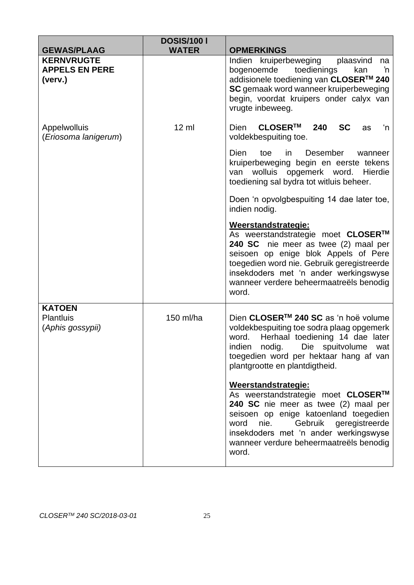| <b>GEWAS/PLAAG</b>                                    | <b>DOSIS/1001</b><br><b>WATER</b> | <b>OPMERKINGS</b>                                                                                                                                                                                                                                                                                                         |
|-------------------------------------------------------|-----------------------------------|---------------------------------------------------------------------------------------------------------------------------------------------------------------------------------------------------------------------------------------------------------------------------------------------------------------------------|
| <b>KERNVRUGTE</b><br><b>APPELS EN PERE</b><br>(verv.) |                                   | Indien kruiperbeweging<br>plaasvind<br>na<br>bogenoemde<br>toedienings<br>kan<br>'n<br>addisionele toediening van CLOSER™ 240<br>SC gemaak word wanneer kruiperbeweging<br>begin, voordat kruipers onder calyx van<br>vrugte inbeweeg.                                                                                    |
| Appelwolluis<br>(Eriosoma lanigerum)                  | $12 \mathrm{ml}$                  | CLOSER™<br>240<br><b>SC</b><br>Dien<br>'n<br>as<br>voldekbespuiting toe.<br>Dien<br>toe<br>in<br><b>Desember</b><br>wanneer<br>kruiperbeweging begin en eerste tekens<br>wolluis opgemerk word. Hierdie<br>van<br>toediening sal bydra tot witluis beheer.<br>Doen 'n opvolgbespuiting 14 dae later toe,<br>indien nodig. |
|                                                       |                                   | Weerstandstrategie:<br>As weerstandstrategie moet CLOSER™<br>240 SC nie meer as twee (2) maal per<br>seisoen op enige blok Appels of Pere<br>toegedien word nie. Gebruik geregistreerde<br>insekdoders met 'n ander werkingswyse<br>wanneer verdere beheermaatreëls benodig<br>word.                                      |
| <b>KATOEN</b><br><b>Plantluis</b><br>(Aphis gossypii) | 150 ml/ha                         | Dien CLOSER <sup>™</sup> 240 SC as 'n hoë volume<br>voldekbespuiting toe sodra plaag opgemerk<br>Herhaal toediening 14 dae later<br>word.<br>indien nodig. Die spuitvolume wat<br>toegedien word per hektaar hang af van<br>plantgrootte en plantdigtheid.                                                                |
|                                                       |                                   | Weerstandstrategie:<br>As weerstandstrategie moet CLOSER™<br>240 SC nie meer as twee (2) maal per<br>seisoen op enige katoenland toegedien<br>word nie.<br>Gebruik geregistreerde<br>insekdoders met 'n ander werkingswyse<br>wanneer verdure beheermaatreëls benodig<br>word.                                            |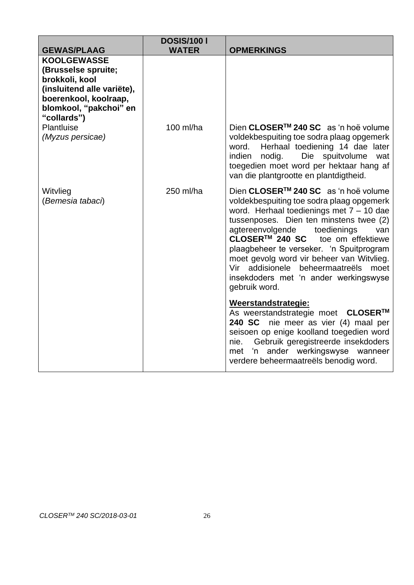| <b>GEWAS/PLAAG</b>                                                                                                                                                                            | <b>DOSIS/100 I</b><br><b>WATER</b> | <b>OPMERKINGS</b>                                                                                                                                                                                                                                                                                                                                                                                                                                      |
|-----------------------------------------------------------------------------------------------------------------------------------------------------------------------------------------------|------------------------------------|--------------------------------------------------------------------------------------------------------------------------------------------------------------------------------------------------------------------------------------------------------------------------------------------------------------------------------------------------------------------------------------------------------------------------------------------------------|
| <b>KOOLGEWASSE</b><br>(Brusselse spruite;<br>brokkoli, kool<br>(insluitend alle variëte),<br>boerenkool, koolraap,<br>blomkool, "pakchoi" en<br>"collards")<br>Plantluise<br>(Myzus persicae) | 100 ml/ha                          | Dien CLOSER <sup>™</sup> 240 SC as 'n hoë volume<br>voldekbespuiting toe sodra plaag opgemerk<br>Herhaal toediening 14 dae later<br>word.<br>indien<br>nodig.<br>Die spuitvolume<br>wat<br>toegedien moet word per hektaar hang af<br>van die plantgrootte en plantdigtheid.                                                                                                                                                                           |
| Witvlieg<br>(Bemesia tabaci)                                                                                                                                                                  | 250 ml/ha                          | Dien CLOSER™ 240 SC as 'n hoë volume<br>voldekbespuiting toe sodra plaag opgemerk<br>word. Herhaal toedienings met $7 - 10$ dae<br>tussenposes. Dien ten minstens twee (2)<br>agtereenvolgende<br>toedienings<br>van<br>CLOSER™ 240 SC<br>toe om effektiewe<br>plaagbeheer te verseker. 'n Spuitprogram<br>moet gevolg word vir beheer van Witvlieg.<br>Vir addisionele beheermaatreëls moet<br>insekdoders met 'n ander werkingswyse<br>gebruik word. |
|                                                                                                                                                                                               |                                    | Weerstandstrategie:<br>As weerstandstrategie moet CLOSER™<br>240 SC nie meer as vier (4) maal per<br>seisoen op enige koolland toegedien word<br>Gebruik geregistreerde insekdoders<br>nie.<br>ander werkingswyse<br>'n<br>met<br>wanneer<br>verdere beheermaatreëls benodig word.                                                                                                                                                                     |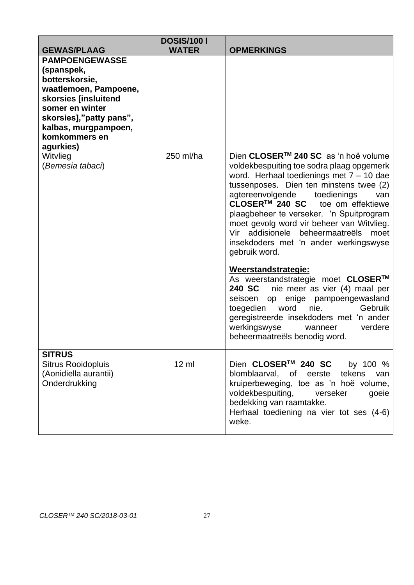| <b>GEWAS/PLAAG</b>                                                                                                                                                                                         | <b>DOSIS/1001</b><br><b>WATER</b> | <b>OPMERKINGS</b>                                                                                                                                                                                                                                                                                                                                                                                                                                               |
|------------------------------------------------------------------------------------------------------------------------------------------------------------------------------------------------------------|-----------------------------------|-----------------------------------------------------------------------------------------------------------------------------------------------------------------------------------------------------------------------------------------------------------------------------------------------------------------------------------------------------------------------------------------------------------------------------------------------------------------|
| <b>PAMPOENGEWASSE</b><br>(spanspek,<br>botterskorsie,<br>waatlemoen, Pampoene,<br>skorsies [insluitend<br>somer en winter<br>skorsies],"patty pans",<br>kalbas, murgpampoen,<br>komkommers en<br>agurkies) |                                   |                                                                                                                                                                                                                                                                                                                                                                                                                                                                 |
| Witvlieg<br>(Bemesia tabaci)                                                                                                                                                                               | 250 ml/ha                         | Dien CLOSER™ 240 SC as 'n hoë volume<br>voldekbespuiting toe sodra plaag opgemerk<br>word. Herhaal toedienings met $7 - 10$ dae<br>tussenposes. Dien ten minstens twee (2)<br>agtereenvolgende<br>toedienings<br>van<br>CLOSER <sup>™</sup> 240 SC toe om effektiewe<br>plaagbeheer te verseker. 'n Spuitprogram<br>moet gevolg word vir beheer van Witvlieg.<br>Vir addisionele beheermaatreëls moet<br>insekdoders met 'n ander werkingswyse<br>gebruik word. |
|                                                                                                                                                                                                            |                                   | Weerstandstrategie:<br>As weerstandstrategie moet CLOSER™<br>nie meer as vier (4) maal per<br>240 SC<br>enige<br>pampoengewasland<br>seisoen<br>op<br>word<br>nie.<br>Gebruik<br>toegedien<br>geregistreerde insekdoders met 'n ander<br>werkingswyse<br>verdere<br>wanneer<br>beheermaatreëls benodig word.                                                                                                                                                    |
| <b>SITRUS</b><br><b>Sitrus Rooidopluis</b><br>(Aonidiella aurantii)<br>Onderdrukking                                                                                                                       | $12 \mathrm{m}$                   | Dien CLOSER™ 240 SC<br>by 100 %<br>blomblaarval,<br>of<br>eerste<br>tekens<br>van<br>kruiperbeweging, toe as 'n hoë volume,<br>voldekbespuiting,<br>verseker<br>goeie<br>bedekking van raamtakke.<br>Herhaal toediening na vier tot ses (4-6)<br>weke.                                                                                                                                                                                                          |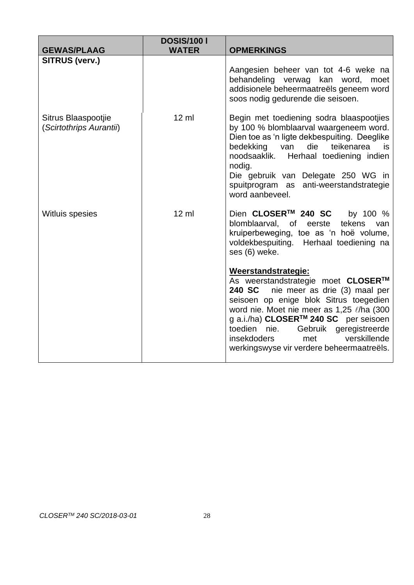| <b>GEWAS/PLAAG</b>                             | <b>DOSIS/1001</b><br><b>WATER</b> | <b>OPMERKINGS</b>                                                                                                                                                                                                                                                                                                                                                                           |
|------------------------------------------------|-----------------------------------|---------------------------------------------------------------------------------------------------------------------------------------------------------------------------------------------------------------------------------------------------------------------------------------------------------------------------------------------------------------------------------------------|
| <b>SITRUS (verv.)</b>                          |                                   | Aangesien beheer van tot 4-6 weke na<br>behandeling verwag kan word,<br>moet<br>addisionele beheermaatreëls geneem word<br>soos nodig gedurende die seisoen.                                                                                                                                                                                                                                |
| Sitrus Blaaspootjie<br>(Scirtothrips Aurantii) | $12 \text{ ml}$                   | Begin met toediening sodra blaaspootjies<br>by 100 % blomblaarval waargeneem word.<br>Dien toe as 'n ligte dekbespuiting. Deeglike<br>die<br>teikenarea<br>bedekking van<br>is<br>noodsaaklik.<br>Herhaal toediening indien<br>nodig.<br>Die gebruik van Delegate 250 WG in<br>spuitprogram as anti-weerstandstrategie<br>word aanbeveel.                                                   |
| <b>Witluis spesies</b>                         | $12 \mathrm{ml}$                  | Dien CLOSER <sup>™</sup> 240 SC<br>by 100 %<br>tekens<br>blomblaarval,<br>of l<br>eerste<br>van<br>kruiperbeweging, toe as 'n hoë volume,<br>voldekbespuiting. Herhaal toediening na<br>ses (6) weke.                                                                                                                                                                                       |
|                                                |                                   | Weerstandstrategie:<br>As weerstandstrategie moet CLOSER™<br><b>240 SC</b><br>nie meer as drie (3) maal per<br>seisoen op enige blok Sitrus toegedien<br>word nie. Moet nie meer as 1,25 l/ha (300<br>g a.i./ha) CLOSER <sup>™</sup> 240 SC per seisoen<br>Gebruik geregistreerde<br>toedien nie.<br>verskillende<br><i>insekdoders</i><br>met<br>werkingswyse vir verdere beheermaatreëls. |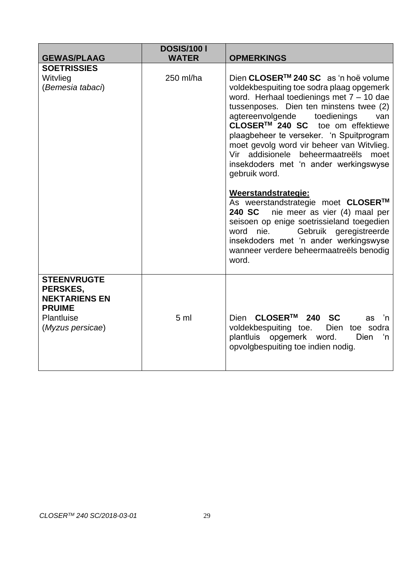|                                                                                                           | <b>DOSIS/100 I</b> |                                                                                                                                                                                                                                                                                                                                                                                                                                                                                                                                                                                                                                                                                                                                                                |
|-----------------------------------------------------------------------------------------------------------|--------------------|----------------------------------------------------------------------------------------------------------------------------------------------------------------------------------------------------------------------------------------------------------------------------------------------------------------------------------------------------------------------------------------------------------------------------------------------------------------------------------------------------------------------------------------------------------------------------------------------------------------------------------------------------------------------------------------------------------------------------------------------------------------|
| <b>GEWAS/PLAAG</b>                                                                                        | <b>WATER</b>       | <b>OPMERKINGS</b>                                                                                                                                                                                                                                                                                                                                                                                                                                                                                                                                                                                                                                                                                                                                              |
| <b>SOETRISSIES</b><br>Witvlieg<br>(Bemesia tabaci)                                                        | 250 ml/ha          | Dien CLOSER <sup>™</sup> 240 SC as 'n hoë volume<br>voldekbespuiting toe sodra plaag opgemerk<br>word. Herhaal toedienings met $7 - 10$ dae<br>tussenposes. Dien ten minstens twee (2)<br>agtereenvolgende<br>toedienings<br>van<br>CLOSER™ 240 SC toe om effektiewe<br>plaagbeheer te verseker. 'n Spuitprogram<br>moet gevolg word vir beheer van Witvlieg.<br>Vir addisionele beheermaatreëls<br>moet<br>insekdoders met 'n ander werkingswyse<br>gebruik word.<br>Weerstandstrategie:<br>As weerstandstrategie moet CLOSER™<br>240 SC<br>nie meer as vier (4) maal per<br>seisoen op enige soetrissieland toegedien<br>Gebruik geregistreerde<br>word<br>nie.<br>insekdoders met 'n ander werkingswyse<br>wanneer verdere beheermaatreëls benodig<br>word. |
| <b>STEENVRUGTE</b><br>PERSKES,<br><b>NEKTARIENS EN</b><br><b>PRUIME</b><br>Plantluise<br>(Myzus persicae) | 5 <sub>m</sub>     | Dien CLOSER™ 240 SC<br>as<br>'n<br>voldekbespuiting toe.<br>Dien toe sodra<br>plantluis opgemerk word.<br>Dien<br>'n<br>opvolgbespuiting toe indien nodig.                                                                                                                                                                                                                                                                                                                                                                                                                                                                                                                                                                                                     |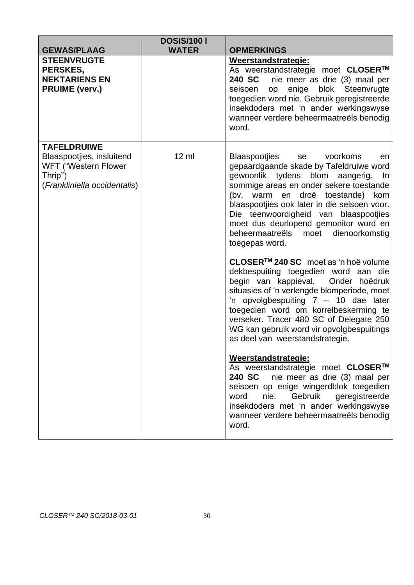| <b>GEWAS/PLAAG</b>                                                                                                        | <b>DOSIS/100 I</b><br><b>WATER</b> | <b>OPMERKINGS</b>                                                                                                                                                                                                                                                                                                                                                                                                                                                                                                                                                                                                                                                                                                                                                                                                                                                                                                                                                                                                                                                                               |
|---------------------------------------------------------------------------------------------------------------------------|------------------------------------|-------------------------------------------------------------------------------------------------------------------------------------------------------------------------------------------------------------------------------------------------------------------------------------------------------------------------------------------------------------------------------------------------------------------------------------------------------------------------------------------------------------------------------------------------------------------------------------------------------------------------------------------------------------------------------------------------------------------------------------------------------------------------------------------------------------------------------------------------------------------------------------------------------------------------------------------------------------------------------------------------------------------------------------------------------------------------------------------------|
| <b>STEENVRUGTE</b><br>PERSKES,<br><b>NEKTARIENS EN</b><br><b>PRUIME (verv.)</b>                                           |                                    | Weerstandstrategie:<br>As weerstandstrategie moet CLOSER™<br>240 SC<br>nie meer as drie (3) maal per<br>op enige blok Steenvrugte<br>seisoen<br>toegedien word nie. Gebruik geregistreerde<br>insekdoders met 'n ander werkingswyse<br>wanneer verdere beheermaatreëls benodig<br>word.                                                                                                                                                                                                                                                                                                                                                                                                                                                                                                                                                                                                                                                                                                                                                                                                         |
| <b>TAFELDRUIWE</b><br>Blaaspootjies, insluitend<br><b>WFT ("Western Flower</b><br>Thrip")<br>(Frankliniella occidentalis) | $12 \mathrm{ml}$                   | Blaaspootjies<br>voorkoms<br>se<br>en<br>gepaardgaande skade by Tafeldruiwe word<br>gewoonlik tydens blom aangerig.<br>In<br>sommige areas en onder sekere toestande<br>(bv.<br>droë toestande)<br>warm en<br>kom<br>blaaspootjies ook later in die seisoen voor.<br>Die teenwoordigheid van blaaspootjies<br>moet dus deurlopend gemonitor word en<br>beheermaatreëls<br>moet<br>dienoorkomstig<br>toegepas word.<br>CLOSER™ 240 SC moet as 'n hoë volume<br>dekbespuiting toegedien word aan die<br>begin van kappieval.<br>Onder hoëdruk<br>situasies of 'n verlengde blomperiode, moet<br>'n opvolgbespuiting 7 - 10 dae later<br>toegedien word om korrelbeskerming te<br>verseker. Tracer 480 SC of Delegate 250<br>WG kan gebruik word vir opvolgbespuitings<br>as deel van weerstandstrategie.<br>Weerstandstrategie:<br>As weerstandstrategie moet CLOSER™<br>240 SC nie meer as drie (3) maal per<br>seisoen op enige wingerdblok toegedien<br>Gebruik<br>geregistreerde<br>word<br>nie.<br>insekdoders met 'n ander werkingswyse<br>wanneer verdere beheermaatreëls benodig<br>word. |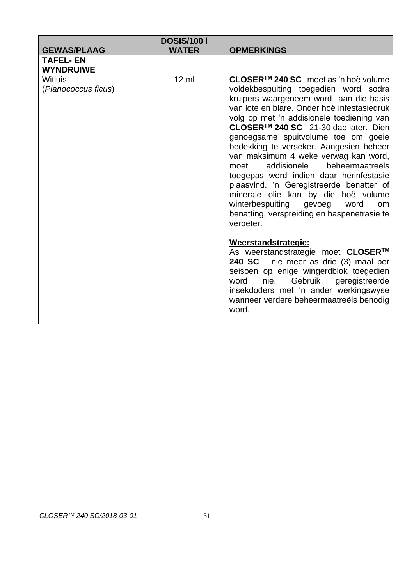| <b>GEWAS/PLAAG</b>                    | <b>DOSIS/1001</b><br><b>WATER</b> | <b>OPMERKINGS</b>                                                                                                                                                                                                                                                                                                                                                                                                                                                                                                                                                                                                                                                                                                                                                                                                                                                                                                                                                                    |
|---------------------------------------|-----------------------------------|--------------------------------------------------------------------------------------------------------------------------------------------------------------------------------------------------------------------------------------------------------------------------------------------------------------------------------------------------------------------------------------------------------------------------------------------------------------------------------------------------------------------------------------------------------------------------------------------------------------------------------------------------------------------------------------------------------------------------------------------------------------------------------------------------------------------------------------------------------------------------------------------------------------------------------------------------------------------------------------|
| TAFEL- EN<br><b>WYNDRUIWE</b>         |                                   |                                                                                                                                                                                                                                                                                                                                                                                                                                                                                                                                                                                                                                                                                                                                                                                                                                                                                                                                                                                      |
| <b>Witluis</b><br>(Planococcus ficus) | $12 \mathrm{ml}$                  | CLOSER™ 240 SC moet as 'n hoë volume<br>voldekbespuiting toegedien word sodra<br>kruipers waargeneem word aan die basis<br>van lote en blare. Onder hoë infestasiedruk<br>volg op met 'n addisionele toediening van<br>CLOSER <sup>™</sup> 240 SC 21-30 dae later. Dien<br>genoegsame spuitvolume toe om goeie<br>bedekking te verseker. Aangesien beheer<br>van maksimum 4 weke verwag kan word,<br>beheermaatreëls<br>addisionele<br>moet<br>toegepas word indien daar herinfestasie<br>plaasvind. 'n Geregistreerde benatter of<br>minerale olie kan by die hoë volume<br>winterbespuiting<br>gevoeg<br>word<br><b>om</b><br>benatting, verspreiding en baspenetrasie te<br>verbeter.<br>Weerstandstrategie:<br>As weerstandstrategie moet CLOSER™<br>240 SC<br>nie meer as drie (3) maal per<br>seisoen op enige wingerdblok toegedien<br>Gebruik<br>geregistreerde<br>nie.<br>word<br>insekdoders met 'n ander werkingswyse<br>wanneer verdere beheermaatreëls benodig<br>word. |